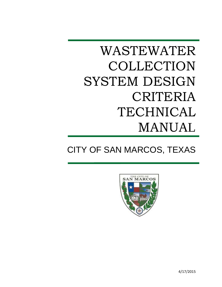# WASTEWATER COLLECTION SYSTEM DESIGN CRITERIA TECHNICAL MANUAL

# CITY OF SAN MARCOS, TEXAS



4/17/2015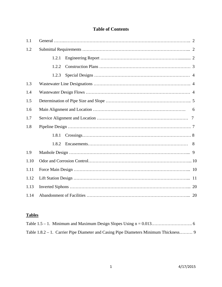### **Table of Contents**

| 1.1  |       |  |  |  |
|------|-------|--|--|--|
| 1.2  |       |  |  |  |
|      | 1.2.1 |  |  |  |
|      | 1.2.2 |  |  |  |
|      | 1.2.3 |  |  |  |
| 1.3  |       |  |  |  |
| 1.4  |       |  |  |  |
| 1.5  |       |  |  |  |
| 1.6  | 6     |  |  |  |
| 1.7  |       |  |  |  |
| 1.8  |       |  |  |  |
|      | 1.8.1 |  |  |  |
|      | 1.8.2 |  |  |  |
| 1.9  |       |  |  |  |
| 1.10 |       |  |  |  |
| 1.11 |       |  |  |  |
| 1.12 |       |  |  |  |
| 1.13 |       |  |  |  |
| 1.14 |       |  |  |  |

## **Tables**

| Table 1.8.2 – 1. Carrier Pipe Diameter and Casing Pipe Diameters Minimum Thickness 9 |  |
|--------------------------------------------------------------------------------------|--|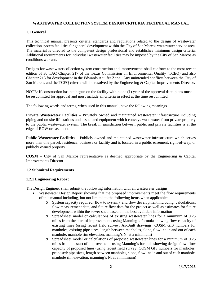#### **WASTEWATER COLLECTION SYSTEM DESIGN CRITERIA TECHNICAL MANUAL**

#### **1.1 General**

This technical manual presents criteria, standards and regulations related to the design of wastewater collection system facilities for general development within the City of San Marcos wastewater service area. The material is directed to the competent design professional and establishes minimum design criteria. Additional requirements for individual wastewater facilities may be imposed by the City of San Marcos as conditions warrant.

Designs for wastewater collection system construction and improvements shall conform to the most recent edition of 30 TAC Chapter 217 of the Texas Commission on Environmental Quality (TCEQ) and also Chapter 213 for development in the Edwards Aquifer Zone. Any unintended conflicts between the City of San Marcos and the TCEQ criteria will be resolved by the Engineering & Capital Improvements Director.

NOTE: If construction has not begun on the facility within one (1) year of the approval date, plans must be resubmitted for approval and must include all criteria in effect at the time resubmitted.

The following words and terms, when used in this manual, have the following meanings.

**Private Wastewater Facilities** – Privately owned and maintained wastewater infrastructure including piping and on site lift stations and associated equipment which conveys wastewater from private property to the public wastewater system. The break in jurisdiction between public and private facilities is at the edge of ROW or easement.

**Public Wastewater Facilities** – Publicly owned and maintained wastewater infrastructure which serves more than one parcel, residence, business or facility and is located in a public easement, right-of-way, or publicly owned property.

**COSM** – City of San Marcos representative as deemed appropriate by the Engineering & Capital Improvements Director

#### **1.2 Submittal Requirements**

#### **1.2.1 Engineering Report**

The Design Engineer shall submit the following information with all wastewater designs:

- Wastewater Design Report showing that the proposed improvements meet the flow requirements of this manual including, but not limited to the following items when applicable:
	- o System capacity required (flow to system) and flow development including: calculations, flow measurement data, and future flow data for the project as well as estimates for future development within the sewer shed based on the best available information
	- o Spreadsheet model or calculations of existing wastewater lines for a minimum of 0.25 miles from the start of improvements using Manning's formula showing flow capacity of existing lines (using recent field survey, As-Built drawings, COSM GIS numbers for manholes, existing pipe sizes, length between manholes, slope, flowline in and out of each manhole, manhole rim elevation, manning's N, at a minimum)
	- o Spreadsheet model or calculations of proposed wastewater lines for a minimum of 0.25 miles from the start of improvements using Manning's formula showing design flow, flow capacity of proposed lines (using recent field survey; COSM GIS numbers for manholes; proposed: pipe sizes, length between manholes, slope, flowline in and out of each manhole, manhole rim elevation, manning's N, at a minimum)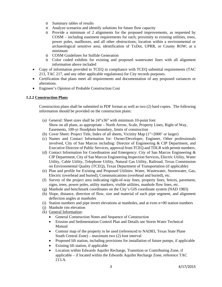- o Summary tables of results
- o Analyze scenarios and identify solutions for future flow capacity
- o Provide a minimum of 2 alignments for the proposed improvements, as requested by COSM – including easement requirements for each; proximity to existing utilities, trees, power poles, mailboxes, and all other obstructions; location within a environmental or archaeological sensitive area; identification of TxDot, UPRR, or County ROW; at a minimum
- o COSM Guidelines for Sulfide Generation
- o Color coded exhibits for existing and proposed wastewater lines with all alignment information above included
- Copy of information provided to TCEQ in compliance with TCEQ submittal requirements (TAC 213, TAC 217, and any other applicable regulations) for City records purposes.
- Certification that plans meet all requirements and documentation of any proposed variances or alterations.
- Engineer's Opinion of Probable Construction Cost

#### **1.2.2 Construction Plans**

Construction plans shall be submitted in PDF format as well as two (2) hard copies. The following information should be provided on the construction plans:

- (a) General: Sheet sizes shall be 24"x36" with minimum 10-point font Show on all plans, as appropriate – North Arrow, Scale, Property Lines, Right of Way, Easements, 100-yr floodplain boundary, limits of construction
- (b) Cover Sheet: Project Title, Index of all sheets, Vicinity Map (1"=2000' or larger)
- (c) Names and Contact Information for: Owner/Developer, Engineer, Other professionals involved, City of San Marcos including: Director of Engineering & CIP Department, and Executive Director of Public Services, approval from TCEQ and TDLR with permit numbers.
- (d) Contact Information for Coordination and Emergency: City of San Marcos Engineering & CIP Department, City of San Marcos Engineering Inspection Services, Electric Utility, Water Utility, Cable Utility, Telephone Utility, Natural Gas Utility, Railroad, Texas Commission on Environmental Quality (TCEQ), Texas Department of Transportation (if applicable)
- (e) Plan and profile for Existing and Proposed Utilities: Water, Wastewater, Stormwater, Gas, Electric (overhead and buried), Communications (overhead and buried), etc.
- (f) Survey of the project area indicating right-of-way lines, property lines, fences, pavement, signs, trees, power poles, utility markers, visible utilities, manhole flow lines, etc.
- (g) Manhole and benchmark coordinates on the City's GIS coordinate system (NAD 1983)
- (h) Slope, distance, direction of flow, size and material of each pipe segment, and alignment deflection angles at manholes
- (i) Station numbers and pipe invert elevations at manholes, and at even n+00 station numbers
- (j) Manhole rim elevation
- (k) General Information:
	- General Construction Notes and Sequence of Construction
	- Erosion and Sedimentation Control Plan and Details see Storm Water Technical Manual
	- Contour map of the property to be used (referenced to NAD83, Texas State Plane South Central Zone) – maximum two (2) foot interval
	- Proposed lift station, including provisions for installation of future pumps, if applicable
	- Existing lift station, if applicable
	- Location within Edwards Aquifer Recharge, Transition or Contributing Zone, if applicable – if located within the Edwards Aquifer Recharge Zone, reference TAC 213.A.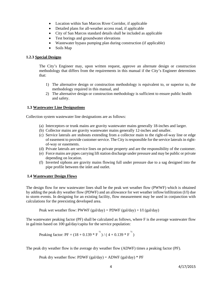- Location within San Marcos River Corridor, if applicable
- Detailed plans for all-weather access road, if applicable
- City of San Marcos standard details shall be included as applicable
- Test borings and groundwater elevations
- Wastewater bypass pumping plan during construction (if applicable)
- Soils Map

#### **1.2.3 Special Designs**

The City's Engineer may, upon written request, approve an alternate design or construction methodology that differs from the requirements in this manual if the City's Engineer determines that:

- 1) The alternative design or construction methodology is equivalent to, or superior to, the methodology required in this manual, and
- 2) The alternative design or construction methodology is sufficient to ensure public health and safety.

#### **1.3 Wastewater Line Designations**

Collection system wastewater line designations are as follows:

- (a) Interceptors or trunk mains are gravity wastewater mains generally 18-inches and larger.
- (b) Collector mains are gravity wastewater mains generally 12-inches and smaller.
- (c) Service laterals are stubouts extending from a collector main to the right-of-way line or edge of easement to provide customer service. The City is responsible for the service laterals in rightof-way or easements.
- (d) Private laterals are service lines on private property and are the responsibility of the customer.
- (e) Force mains are pipes carrying lift station discharge under pressure and may be public or private depending on location.
- (f) Inverted siphons are gravity mains flowing full under pressure due to a sag designed into the pipe profile between the inlet and outlet.

#### **1.4 Wastewater Design Flows**

The design flow for new wastewater lines shall be the peak wet weather flow (PWWF) which is obtained by adding the peak dry weather flow (PDWF) and an allowance for wet weather inflow/infiltration (I/I) due to storm events. In designing for an existing facility, flow measurement may be used in conjunction with calculations for the preexisting developed area.

Peak wet weather flow: PWWF (gal/day) = PDWF (gal/day) + I/I (gal/day)

The wastewater peaking factor (PF) shall be calculated as follows, where F is the average wastewater flow in gal/min based on 100 gal/day/capita for the service population:

Peaking factor: PF = 
$$
(18 + 0.139 * F^{\frac{1}{2}}) / (4 + 0.139 * F^{\frac{1}{2}})
$$

The peak dry weather flow is the average dry weather flow (ADWF) times a peaking factor (PF).

Peak dry weather flow: PDWF (gal/day) =  $ADWF$  (gal/day) \* PF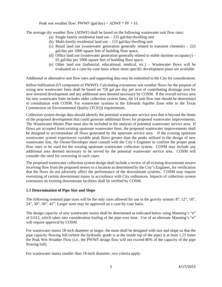Peak wet weather flow: PWWF (gal/day) =  $ADWF * PF + I/I$ .

The average dry weather flow (ADWF) shall be based on the following wastewater unit flow rates:

- (a) Single-family residential land use 225 gal/day/dwelling unit
- (b) Multi-family residential land use 112 gal/day/dwelling unit
- (c) Retail land use (wastewater generation generally related to transient clientele) 225 gal/day per 1000 square feet of building floor space.
- (d) Office land use (wastewater generation generally related to stable daytime occupancy) 65 gal/day per 1000 square feet of building floor space.
- (e) Other land use (industrial, educational, medical, etc.) Wastewater flows will be evaluated on a case-by-case basis where more specific development plans are available

Additional or alternative unit flow rates and supporting data may be submitted to the City for consideration.

Inflow/infiltration (I/I component of PWWF): Calculating extraneous wet weather flows for the purpose of sizing new wastewater lines shall be based on 750 gal per day per acre of contributing drainage area for new sewered development and any additional area deemed necessary by COSM. If the overall service area for new wastewater lines includes older collection system lines, the I/I unit flow rate should be determined in consultation with COSM. For wastewater systems in the Edwards Aquifer Zone refer to the Texas Commission on Environmental Quality (TCEQ) requirements.

Collection system design data should identify the potential wastewater service area that is beyond the limits of the proposed development that could generate additional flows for proposed wastewater improvements. The Wastewater Master Plan must also be included in the analysis of potential wastewater service area. If flows are accepted from existing upstream wastewater lines, the proposed wastewater improvements shall be designed to accommodate all flows generated by the upstream service area. If the existing upstream wastewater system experiences variable peak flows greater than the peaks utilized in the design of new wastewater line, the Owner/Developer must consult with the City's Engineer to confirm the proper peak flow rates to be used for the existing upstream wastewater collection system. COSM may include any additional area deemed necessary to be served by the potential wastewater service area. COSM will consider the need for oversizing in such cases.

The proposed wastewater collection system design shall include a review of all existing downstream sewers receiving flow from the proposed sewers to a location as determined by the City's Engineer, for verification that the flows do not adversely affect the performance of the downstream systems. COSM may require oversizing of certain downstream mains in accordance with City ordinances. Impacts of collection system extensions on existing downstream facilities shall be verified by COSM.

#### **1.5 Determination of Pipe Size and Slope**

The following nominal pipe sizes will be the only sizes allowed for use in the gravity system: 8", 12", 18", 24", 30", 36", 42". Larger sizes may be approved on a case-by-case basis.

The design capacity of new wastewater mains shall be determined as indicated below using Manning's "n" of 0.013, which takes into consideration fouling of the pipe over time. Use of an alternate Manning's "n" will require approval by COSM.

For wastewater mains 18-inch diameter or larger, the main shall be designed with size and slope so that the pipe capacity flowing full (where the hydraulic grade is at the inside top of the pipe) is at least 1.25 times the Peak Wet Weather Flow (i.e., the PWWF design flow will not exceed 80% of the capacity of the pipe flowing full).

For wastewater mains smaller than 18-inch diameter, two criteria apply: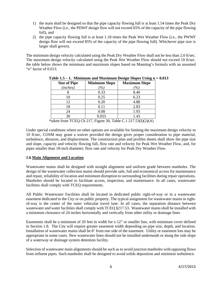- 1) the main shall be designed so that the pipe capacity flowing full is at least 1.54 times the Peak Dry Weather Flow (i.e., the PDWF design flow will not exceed 65% of the capacity of the pipe flowing full), and
- 2) the pipe capacity flowing full is at least 1.18 times the Peak Wet Weather Flow (i.e., the PWWF design flow will not exceed 85% of the capacity of the pipe flowing full). Whichever pipe size is larger shall govern.

The minimum design velocity calculated using the Peak Dry Weather Flow shall not be less than 2.0 ft/sec. The maximum design velocity calculated using the Peak Wet Weather Flow should not exceed 10 ft/sec. the table below shows the minimum and maximum slopes based on Manning's formula with an assumed "n" factor of 0.013.

| <b>Size of Pipe</b>                                                                                                                                                                                                                                                                                                                                                                                                                                 | <b>Minimum Slope</b> | <b>Maximum Slope</b> |  |  |
|-----------------------------------------------------------------------------------------------------------------------------------------------------------------------------------------------------------------------------------------------------------------------------------------------------------------------------------------------------------------------------------------------------------------------------------------------------|----------------------|----------------------|--|--|
| (inches)                                                                                                                                                                                                                                                                                                                                                                                                                                            | $\%$                 | $\%$                 |  |  |
|                                                                                                                                                                                                                                                                                                                                                                                                                                                     | 0.33                 | 8.40                 |  |  |
| 10                                                                                                                                                                                                                                                                                                                                                                                                                                                  | 0.25                 | 6.23                 |  |  |
| 12                                                                                                                                                                                                                                                                                                                                                                                                                                                  | 0.20                 | 4.88                 |  |  |
| 18                                                                                                                                                                                                                                                                                                                                                                                                                                                  | 0.11                 | 2.83                 |  |  |
| 24                                                                                                                                                                                                                                                                                                                                                                                                                                                  | 0.08                 | 1.93                 |  |  |
| 30                                                                                                                                                                                                                                                                                                                                                                                                                                                  | 0.055                | 1.43                 |  |  |
| $20 \pm 11$<br>$\sim$<br>$\pi$ $\alpha$ $\pi$ $\alpha$ $\alpha$ $\pi$<br>$\alpha$ + $\alpha$ + $\alpha$ = $\alpha$ $\alpha$ $\alpha$ $\alpha$ $\alpha$ + $\alpha$ $\alpha$ + $\alpha$ + $\alpha$ + $\alpha$ + $\alpha$ + $\alpha$ + $\alpha$ + $\alpha$ + $\alpha$ + $\alpha$ + $\alpha$ + $\alpha$ + $\alpha$ + $\alpha$ + $\alpha$ + $\alpha$ + $\alpha$ + $\alpha$ + $\alpha$ + $\alpha$ + $\alpha$ + $\alpha$ + $\alpha$ + $\alpha$ +<br>.<br>╌ |                      |                      |  |  |

|  | Table $1.5 - 1$ . Minimum and Maximum Design Slopes Using $n = 0.013$ |  |  |
|--|-----------------------------------------------------------------------|--|--|
|  |                                                                       |  |  |

\*taken from TCEQ Ch 217, Figure 30, Table C.1 217.53 $(I)(2)(A)$ 

Under special conditions where no other options are available for limiting the maximum design velocity to 10 ft/sec, COSM may grant a waiver provided the design gives proper consideration to pipe material, turbulence, abrasion, and displacement. The construction plan and profiles sheets shall show the pipe size and slope, capacity and velocity flowing full, flow rate and velocity for Peak Wet Weather Flow, and, for pipes smaller than 18-inch diameter, flow rate and velocity for Peak Dry Weather Flow.

#### **1.6 Main Alignment and Location**

Wastewater mains shall be designed with straight alignment and uniform grade between manholes. The design of the wastewater collection mains should provide safe, full and economical access for maintenance and repair, reliability of location and minimum disruption to surrounding facilities during repair operations. Manholes should be located to facilitate access, inspection, and maintenance. In all cases, wastewater facilities shall comply with TCEQ requirements.

All Public Wastewater Facilities shall be located in dedicated public right-of-way or in a wastewater easement dedicated to the City or on public property. The typical assignment for wastewater mains in rightof-way is the center of the outer vehicular travel lane. In all cases, the separation distance between wastewater and water facilities shall comply with TCEQ  $\S217.53$ . Wastewater mains shall be installed with a minimum clearance of 24 inches horizontally and vertically from other utility or drainage lines.

Easements shall be a minimum of 20 feet in width for a 12" or smaller line, with minimum cover defined in Section 1.8. The City will require greater easement width depending on pipe size, depth, and location. Installation of wastewater mains shall be 8' from one side of the easement. Utility or easement lots may be appropriate in some cases. New wastewater lines should not be installed underneath or along the side slope of a waterway or drainage system detention facility.

Selection of wastewater main alignments should be such as to avoid junction manholes with opposing flows from influent pipes. Such manholes shall be designed to avoid solids deposition and minimize turbulence.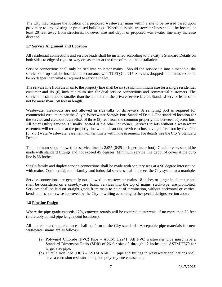The City may require the location of a proposed wastewater main within a site to be revised based upon proximity to any existing or proposed buildings. Where possible, wastewater lines should be located at least 20 feet away from structures, however size and depth of proposed wastewater line may increase distance.

#### **1.7 Service Alignment and Location**

All residential connections and service leads shall be installed according to the City's Standard Details on both sides to edge of right-or-way or easement at the time of main line installation.

Service connections shall only be tied into collector mains. Should the service tie into a manhole, the service or drop shall be installed in accordance with TCEQ Ch. 217. Services dropped at a manhole should be no deeper than what is required to service the lot.

The service line from the main to the property line shall be six (6) inch minimum size for a single residential customer and six (6) inch minimum size for dual service connections and commercial customers. The service line shall not be smaller than the diameter of the private service lateral. Standard service leads shall not be more than 150 feet in length.

Wastewater clean-outs are not allowed in sidewalks or driveways. A sampling port is required for commercial customers per the City's Wastewater Sample Port Standard Detail. The standard location for the service and cleanout is an offset of three (3) feet from the common property line between adjacent lots. All other Utility service is usually located at the other lot corner. Services to lots without a wastewater easement will terminate at the property line with a clean-out; service to lots having a five foot by five foot (5' x 5') water/wastewater easement will terminate within the easement. For details, see the City's Standard Details.

The minimum slope allowed for service lines is 2.0% (6/25-inch per linear foot). Grade breaks should be made with standard fittings and not exceed 45 degrees. Minimum service line depth of cover at the curb line is 36-inches.

Single-family and duplex service connections shall be made with sanitary tees at a 90 degree intersection with mains. Commercial, multi-family, and industrial services shall intersect the City system at a manhole.

Service connections are generally not allowed on wastewater mains 18-inches or larger in diameter and shall be considered on a case-by-case basis. Services into the top of mains, stack-type, are prohibited. Services shall be laid on straight grade from main to point of termination, without horizontal or vertical bends, unless otherwise approved by the City in writing according to the special designs section above.

#### **1.8 Pipeline Design**

Where the pipe grade exceeds 12%, concrete retards will be required at intervals of no more than 25 feet (preferably at mid pipe length joint locations).

All materials and appurtenances shall conform to the City standards. Acceptable pipe materials for new wastewater mains are as follows:

- (a) Polyvinyl Chloride (PVC) Pipe ASTM D2241. All PVC wastewater pipe must have a Standard Dimension Ratio (SDR) of 26 for sizes 6 through 12 inches and ASTM F679 for larger size pipe.
- (b) Ductile Iron Pipe (DIP) ASTM A746. DI pipe and fittings in wastewater applications shall have a corrosion resistant lining and polyethylene encasement.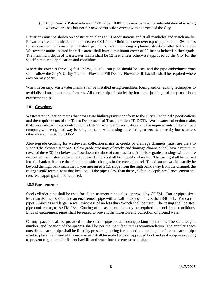(c) High Density Polyethylene (HDPE) Pipe. HDPE pipe may be used for rehabilitation of existing wastewater lines but not for new construction except with approval of the City.

Elevations must be shown on construction plans at 100-foot stations and at all manholes and match marks. Elevations are to be calculated to the nearest 0.01 foot. Minimum cover over top of pipe shall be 36-inches for wastewater mains installed in natural ground not within existing or planned streets or other traffic areas. Wastewater mains located in traffic areas shall have a minimum cover of 60-inches below finished grade. The maximum depth of wastewater mains shall be 13 feet unless otherwise approved by the City for the specific material, application and conditions.

Where the cover is three (3) feet or less, ductile iron pipe should be used and the pipe embedment zone shall follow the City's Utility Trench - Flowable Fill Detail. Flowable fill backfill shall be required where erosion may occur.

When necessary, wastewater mains shall be installed using trenchless boring and/or jacking techniques to avoid disturbance to surface features. All carrier pipes installed by boring or jacking shall be placed in an encasement pipe.

#### **1.8.1 Crossings**:

Wastewater collection mains that cross state highways must conform to the City's Technical Specifications and the requirements of the Texas Department of Transportation (TxDOT). Wastewater collection mains that cross railroads must conform to the City's Technical Specifications and the requirements of the railroad company whose right-of-way is being crossed. All crossings of existing streets must use dry bores, unless otherwise approved by COSM.

Above-grade crossing for wastewater collection mains at creeks or drainage channels, must use piers to support the elevated sections. Below grade crossings of creeks and drainage channels shall have a minimum cover of three (3) feet below the flowline at the time of construction. All below grade crossings will require encasement with steel encasement pipe and all ends shall be capped and sealed. The casing shall be carried into the bank a distance that should consider changes in the creek channel. This distance would usually be beyond the high bank such that if you measured a 1:1 slope from the high bank away from the channel, the casing would terminate at that location. If the pipe is less than three (3) feet in depth, steel encasement and concrete capping shall be required.

#### **1.8.2 Encasements**:

Steel cylinder pipe shall be used for all encasement pipe unless approved by COSM. Carrier pipes sized less than 30-inches shall use an encasement pipe with a wall thickness no less than 3/8-inch. For carrier pipes 30-inches and larger, a wall thickness of no less than ½-inch shall be used. The casing shall be steel pipe conforming to ASTM 134. Coating of encasement pipe may be required in special soil conditions. Ends of encasement pipes shall be sealed to prevent the intrusion and collection of ground water.

Casing spacers shall be provided on the carrier pipe for all boring/jacking operations. The size, length, number, and location of the spacers shall be per the manufacturer's recommendation. The annular space outside the carrier pipe shall be filled by pressure grouting for the entire bore length before the carrier pipe is set in place. Each end of the encasement shall be sealed with an approved boot and seal wrap or grouting to prevent migration of adjacent backfill and water into the encasement pipe.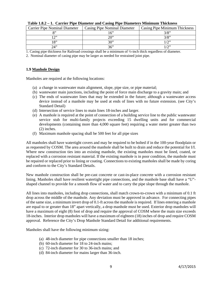| <b>Carrier Pipe Nominal Diameter</b> | Casing Pipe Nominal Diameter | Casing Pipe Minimum Thickness |
|--------------------------------------|------------------------------|-------------------------------|
|                                      | $\epsilon$                   | 2/8"                          |
| יר ו                                 | າດ"                          | າ /ດາ                         |
| $\mathbf{Q}$                         | 30"                          |                               |
| ינ2י                                 | 36"                          |                               |

1. Casing pipe thickness for Railroad crossings shall be a minimum of ½-inch thick regardless of diameter.

2. Nominal diameter of casing pipe may be larger as needed for restrained joint pipe.

#### **1.9 Manhole Design**

Manholes are required at the following locations:

- (a) a change in wastewater main alignment, slope, pipe size, or pipe material;
- (b) wastewater main junctions, including the point of force main discharge to a gravity main; and
- (c) The ends of wastewater lines that may be extended in the future; although a wastewater access device instead of a manhole may be used at ends of lines with no future extension. (see City's Standard Detail)
- (d) Intersection of service lines to main lines 18-inches and larger.
- (e) A manhole is required at the point of connection of a building service line to the public wastewater service stub for multi-family projects exceeding 15 dwelling units and for commercial developments (containing more than 4,000 square feet) requiring a water meter greater than two (2) inches.
- (f) Maximum manhole spacing shall be 500 feet for all pipe sizes

All manholes shall have watertight covers and may be required to be bolted if in the 100-year floodplain or as requested by COSM. The area around the manhole shall be built to drain and reduce the potential for I/I. Where new construction ties into an existing manhole, the existing manholes must be lined, coated, or replaced with a corrosion resistant material. If the existing manhole is in poor condition, the manhole must be repaired or replaced prior to lining or coating. Connections to existing manholes shall be made by coring and conform to the City's Standard Details.

New manhole construction shall be pre-cast concrete or cast-in-place concrete with a corrosion resistant lining. Manholes shall have resilient watertight pipe connections, and the manhole base shall have a "U" shaped channel to provide for a smooth flow of water and to carry the pipe slope through the manhole.

All lines into manholes, including drop connections, shall match crown-to-crown with a minimum of 0.1 ft drop across the middle of the manhole. Any deviation must be approved in advance. For connecting pipes of the same size, a minimum invert drop of 0.1-ft across the manhole is required. If lines entering a manhole are equal to or greater than 18" apart vertically, a drop manhole must be used. Exterior drop manholes will have a maximum of eight (8) foot of drop and require the approval of COSM where the main size exceeds 18-inches. Interior drop manholes will have a maximum of eighteen (18) inches of drop and require COSM approval. Reference the City's Drop Manhole Standard Detail for additional requirements.

Manholes shall have the following minimum sizing:

- (a) 48-inch diameter for pipe connections smaller than 18 inches;
- (b) 60-inch diameter for 18 to 24-inch mains;
- (c) 72-inch diameter for 30 to 36-inch mains; and
- (d) 84-inch diameter for mains larger than 36-inch.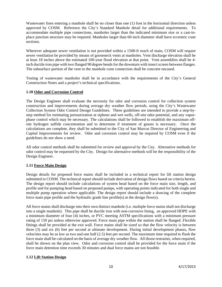Wastewater lines entering a manhole shall be no closer than one (1) foot in the horizontal direction unless approved by COSM. Reference the City's Standard Manhole detail for additional requirements. To accommodate multiple pipe connections, manholes larger than the indicated minimum size or a cast-inplace junction structure may be required. Manholes larger than 60-inch diameter shall have eccentric cone sections.

Wherever adequate sewer ventilation is not provided within a 1500-ft reach of main, COSM will require sewer ventilation be provided by means of gooseneck vents at manholes. Vent discharge elevation shall be at least 18 inches above the estimated 100-year flood elevation at that point. Vent assemblies shall be 4 inch ductile iron pipe with two flanged 90degree bends for the downturn with insect screen between flanges. The subsurface portion of the vent to the manhole cone connection shall be concrete encased.

Testing of wastewater manholes shall be in accordance with the requirements of the City's General Construction Notes and a project's technical specifications.

#### **1.10 Odor and Corrosion Control**

The Design Engineer shall evaluate the necessity for odor and corrosion control for collection system construction and improvements during average dry weather flow periods, using the City's Wastewater Collection System Odor Control Design Guidelines. These guidelines are intended to provide a step-bystep method for estimating pressurization at siphons and wet wells, off-site odor potential, and any vaporphase control which may be necessary. The calculations shall be followed to establish the maximum offsite hydrogen sulfide concentration and to determine if treatment of gasses is necessary. Once the calculations are complete, they shall be submitted to the City of San Marcos Director of Engineering and Capital Improvements for review. Odor and corrosion control may be required by COSM even if the guidelines do not show a need.

All odor control methods shall be submitted for review and approval by the City. Alternative methods for odor control may be requested by the City. Design for alternative methods will be the responsibility of the Design Engineer.

#### **1.11 Force Main Design**

Design details for proposed force mains shall be included in a technical report for lift station design submitted to COSM. The technical report should include derivation of design flows based on criteria herein. The design report should include calculations of system head based on the force main size, length, and profile and for pumping head based on proposed pumps, with operating points indicated for both single and multiple pump operation where applicable. The design report should include a drawing of the complete force main pipe profile and the hydraulic grade line profile(s) at the design flow(s).

All force mains shall discharge into their own distinct manhole (i.e. multiple force mains shall not discharge into a single manhole). This pipe shall be ductile iron with non-corrosive lining, an approved HDPE with a minimum diameter of four (4) inches, or PVC meeting ASTM specifications with a minimum pressure rating of 150 psi unless otherwise approved. Force main pipe within the station shall be flanged. Flexible fittings shall be provided at the exit wall. Force mains shall be sized so that the flow velocity is between three (3) and six (6) feet per second at ultimate development. During initial development phases, flow velocities may be as low as two and one half (2.5) feet per second. The maximum time required to flush the force main shall be calculated on the basis of average dry weather flow. All thrust restraints, when required, shall be shown on the plan view. Odor and corrosion control shall be provided for the force main if the force main detention time exceeds 30 minutes and dual force mains are not feasible.

#### **1.12 Lift Station Design**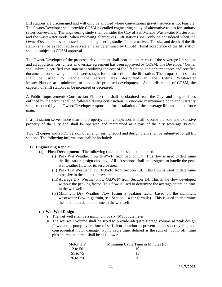Lift stations are discouraged and will only be allowed where conventional gravity service is not feasible. The Owner/Developer shall provide COSM a detailed engineering study of alternative routes for sanitary sewer conveyance. The engineering study shall consider the City of San Marcos Wastewater Master Plan and the wastewater model when reviewing alternatives. Lift stations shall only be considered when the Owner/Developer has exhausted all other engineering studies for alternatives. The size and depth of the lift station shall be as required to service an area determined by COSM. Final acceptance of the lift station shall be subject to COSM approval.

The Owner/Developer of the proposed development shall bear the entire cost of the sewerage lift station and all appurtenances, unless an oversize agreement has been approved by COSM. The Developer/ Owner shall submit a certified cost statement outlining the cost of the lift station and appurtenances and certified documentation showing that bids were sought for construction of the lift station. The proposed lift station shall be sized to handle the service area designated in the City's Wastewater Master Plan or, at a minimum, to handle the proposed development. At the discretion of COSM, the capacity of a lift station can be increased or decreased.

A Public Improvements Construction Plan permit shall be obtained from the City, and all guidelines outlined by the permit shall be followed during construction. A one-year maintenance bond and warranty shall be posted by the Owner/Developer responsible for installation of the sewerage lift station and force main.

If a lift station serves more than one property, upon completion, it shall become the sole and exclusive property of the City and shall be operated and maintained as a part of the city sewerage system.

Two (2) copies and a PDF version of an engineering report and design plans shall be submitted for all lift stations. The following information shall be included:

#### **1) Engineering Report.**

- (a) **Flow Development.** The following calculations shall be included:
	- (i) Peak Wet Weather Flow (PWWF) from Section 1.4. This flow is used to determine the lift station design capacity. All lift stations shall be designed to handle the peak wet weather flow for its service area.
	- (ii) Peak Dry Weather Flow (PDWF) from Section 1.4. This flow is used to determine pipe size in the collection system.
	- (iii)Average Dry Weather Flow (ADWF) from Section 1.4. This is the flow developed without the peaking factor. This flow is used to determine the average detention time in the wet well.
	- (iv) Minimum Dry Weather Flow (using a peaking factor based on the minimum wastewater flow in gal/min, see Section 1.4 for formula) . This is used to determine the maximum detention time in the wet well.

#### (b) **Wet Well Design**.

- (i) The wet well shall be a minimum of six (6) foot diameter.
- (ii) The wet well volume shall be sized to provide adequate storage volume at peak design flows and a pump cycle time of sufficient duration to prevent pump short cycling and consequential motor damage. Pump cycle time, defined as the sum of "pump off" time plus "pump on" time, shall be as follows:

| Motor H.P. | Minimum Cycle Time in Minutes (tc) |
|------------|------------------------------------|
| 2 to 50    | 10                                 |
| 51 to 75   | 15                                 |
| 76 to 250  | 30                                 |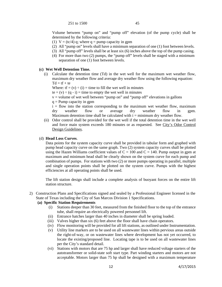251 to 1500 45

Volume between "pump on" and "pump off" elevation (of the pump cycle) shall be determined by the following criteria:

- (1)  $V = (tc/4)$  q; where q = pump capacity in gpm
- (2) All "pump on" levels shall have a minimum separation of one (1) foot between levels.
- (3) All "pump off" levels shall be at least six (6) inches above the top of the pump casing.
- (4) For more than two (2) pumps, the "pump off" levels shall be staged with a minimum separation of one (1) foot between levels.

#### **(c) Wet Well Detention Time.**

(i) Calculate the detention time (Td) in the wet well for the maximum wet weather flow, maximum dry weather flow and average dry weather flow using the following equation:  $Td = tf + te$ 

Where:  $tf = (v) \div (i) =$  time to fill the wet well in minutes

te =  $(v) \div (q - i)$  = time to empty the wet well in minutes

 $v =$  volume of wet well between "pump on" and "pump off" elevations in gallons

 $q =$ Pump capacity in gpm

 $i =$  flow into the station corresponding to the maximum wet weather flow, maximum dry weather flow or average dry weather flow in gpm. Maximum detention time shall be calculated with  $i =$  minimum dry weather flow.

(ii) Odor control shall be provided for the wet well if the total detention time in the wet well and force main system exceeds 180 minutes or as requested. See City's Odor Control Design Guidelines.

#### (d) **Head Loss Curves**.

Data points for the system capacity curve shall be provided in tabular form and graphed with pump head capacity curve on the same graph. Two (2) system capacity curves shall be plotted using the Hazen Williams coefficient values of  $C = 100$  and  $C = 140$ . Pump output in gpm at maximum and minimum head shall be clearly shown on the system curve for each pump and combination of pumps. For stations with two (2) or more pumps operating in parallel, multiple and single operation points shall be plotted on the system curve. Pumps with the highest efficiencies at all operating points shall be used.

The lift station design shall include a complete analysis of buoyant forces on the entire lift station structure.

2) Construction Plans and Specifications signed and sealed by a Professional Engineer licensed in the State of Texas including the City of San Marcos Division 1 Specifications.

#### **(a) Specific Station Requirements**

- (i) Stations deeper than 30 feet, measured from the finished floor to the top of the entrance tube, shall require an electrically powered personnel lift.
- (ii) Entrance hatches larger than 40 inches in diameter shall be spring loaded.
- (iii) Valves higher than six (6) feet above the floor shall have chain operators.
- (iv) Flow monitoring will be provided for all lift stations, as outlined under Instrumentation.
- (v) Utility line markers are to be used on all wastewater lines within pervious areas outside the right-of-way, or on wastewater lines where development has not yet occurred, to locate the existing/proposed line. Locating tape is to be used on all wastewater lines per the City's standard detail.
- (vi) Stations with motors that are 75 hp and larger shall have reduced voltage starters of the autotransformer or solid-state soft start type. Part winding starters and motors are not acceptable. Motors larger than 75 hp shall be designed with a maximum temperature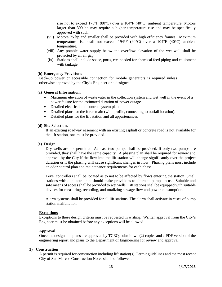rise not to exceed 176°F (80°C) over a 104°F (40°C) ambient temperature. Motors larger than 300 hp may require a higher temperature rise and may be specifically approved with such.

- (vii) Motors 75 hp and smaller shall be provided with high efficiency frames. Maximum temperature rise shall not exceed 194°F (90°C) over a 104°F (40°C) ambient temperature.
- (viii) Any potable water supply below the overflow elevation of the wet well shall be protected by an air gap.
- (ix) Stations shall include space, ports, etc. needed for chemical feed piping and equipment with tankage.

#### **(b) Emergency Provisions**

Back-up power or accessible connection for mobile generators is required unless otherwise approved by the City's Engineer or a designee.

#### **(c) General Information:**

- Maximum elevation of wastewater in the collection system and wet well in the event of a power failure for the estimated duration of power outage.
- Detailed electrical and control system plans
- Detailed plans for the force main (with profile, connecting to outfall location).
- Detailed plans for the lift station and all appurtenances

#### **(d) Site Selection.**

If an existing roadway easement with an existing asphalt or concrete road is not available for the lift station, one must be provided.

#### **(e) Design.**

Dry wells are not permitted. At least two pumps shall be provided. If only two pumps are provided, they shall have the same capacity. A phasing plan shall be required for review and approval by the City if the flow into the lift station will change significantly over the project duration or if the phasing will cause significant changes in flow. Phasing plans must include an odor control plan and maintenance requirements for each phase.

Level controllers shall be located as to not to be affected by flows entering the station. Small stations with duplicate units should make provisions to alternate pumps in use. Suitable and safe means of access shall be provided to wet wells. Lift stations shall be equipped with suitable devices for measuring, recording, and totalizing sewage flow and power consumption.

Alarm systems shall be provided for all lift stations. The alarm shall activate in cases of pump station malfunction.

#### **Exceptions**

Exceptions to these design criteria must be requested in writing. Written approval from the City's Engineer must be obtained before any exceptions will be allowed.

#### **Approval**

Once the design and plans are approved by TCEQ, submit two (2) copies and a PDF version of the engineering report and plans to the Department of Engineering for review and approval.

#### **3) Construction**

A permit is required for construction including lift station(s). Permit guidelines and the most recent City of San Marcos Construction Notes shall be followed.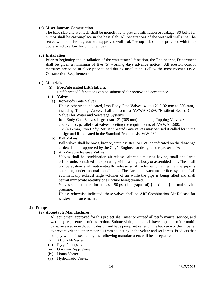#### **(a) Miscellaneous Construction**

The base slab and wet well shall be monolithic to prevent infiltration or leakage. SS bolts for pumps shall be cast-in-place in the base slab. All penetrations of the wet well walls shall be sealed with non-shrink grout or an approved wall seal. The top slab shall be provided with floor doors sized to allow for pump removal.

#### **(b) Installation**

Prior to beginning the installation of the wastewater lift station, the Engineering Department shall be given a minimum of five (5) working days advance notice. All erosion control measures are to be in place prior to and during installation. Follow the most recent COSM Construction Requirements.

#### **(c) Materials**

#### **(i) Pre-Fabricated Lift Stations.**

Prefabricated lift stations can be submitted for review and acceptance.

- **(ii) Valves.**
- (a) Iron-Body Gate Valves.

Unless otherwise indicated, Iron Body Gate Valves, 4" to 12" (102 mm to 305 mm), including Tapping Valves, shall conform to AWWA C509, "Resilient Seated Gate Valves for Water and Sewerage Systems".

Iron Body Gate Valves larger than 12" (305 mm), including Tapping Valves, shall be double disc, parallel seat valves meeting the requirements of AWWA C500.

16" (406 mm) Iron Body Resilient Seated Gate valves may be used if called for in the design and if indicated in the Standard Product List WW-282.

(b) Ball Valves.

Ball valves shall be brass, bronze, stainless steel or PVC as indicated on the drawings or details or as approved by the City's Engineer or designated representative.

(c) Air-Vacuum Release Valves.

Valves shall be combination air-release, air-vacuum units having small and large orifice units contained and operating within a single body or assembled unit. The small orifice system shall automatically release small volumes of air while the pipe is operating under normal conditions. The large air-vacuum orifice system shall automatically exhaust large volumes of air while the pipe is being filled and shall permit immediate re-entry of air while being drained.

Valves shall be rated for at least 150 psi (1 megapascal) {maximum} normal service pressure.

Unless otherwise indicated, these valves shall be ARI Combination Air Release for wastewater force mains.

#### **4) Pumps**

#### **(a) Acceptable Manufacturer.**

All equipment approved for this project shall meet or exceed all performance, service, and warranty requirements of this section. Submersible pumps shall have impellers of the multivane, recessed non-clogging design and have pump out vanes on the backside of the impeller to prevent grit and other materials from collecting in the volute and seal areas. Products that comply with this section by the following manufacturers will be acceptable.

- (i) ABS XFP Series
- (ii) Flygt N Impeller
- (iii) Gorman-Rupp Vortex
- (iv) Homa Vortex
- (v) Hydromatic Vortex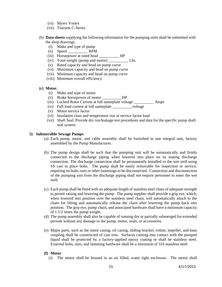- (vi) Myers Vortex
- (vii) Tsurumi C-Series
- (b) **Data sheets** supplying the following information for the pumping units shall be submitted with the shop drawings.
	- (i) Make and type of pump
	- (ii) Speed \_\_\_\_\_\_\_\_\_\_ RPM
	- (iii) Horsepower at rated head \_\_\_\_\_\_\_\_\_\_\_\_ HP
	- (iv) Total weight (pump and motor) Lbs.
	- (v) Rated capacity and head on pump curve
	- (vi) Maximum capacity and head on pump curve
	- (vii) Minimum capacity and head on pump curve
	- (viii) Minimum overall efficiency

#### **(c) Motor.**

- (i) Make and type of motor
- (ii) Brake horsepower of motor HP
- (iii) Locked Rotor Current at full nameplate voltage \_\_\_\_\_\_\_\_\_\_ Amps
- (iv) Full load current at full nameplate \_\_\_\_\_\_\_\_\_\_voltage
- (v) Motor service factor
- (vi) Insulation class and temperature rise at service factor load
- (vii) Shaft Seal: Provide dry run/leakage test procedures and data for the specific pump shaft seal system.

#### **5) Submersible Sewage Pumps**

- (a) Each pump, motor, and cable assembly shall be furnished in one integral unit, factory assembled by the Pump Manufacturer.
- (b) The pump design shall be such that the pumping unit will be automatically and firmly connected to the discharge piping when lowered into place on its mating discharge connection. The discharge connection shall be permanently installed to the wet well using SS cast in place bolts. The pump shall be easily removable for inspection or service, requiring no bolts, nuts or other fastenings to be disconnected. Connection and disconnection of the pumping unit from the discharge piping shall not require personnel to enter the wet well.
- (c) Each pump shall be fitted with an adequate length of stainless steel chain of adequate strength to permit raising and lowering the pump. The pump supplier shall provide a grip eye, which, when lowered into position over the stainless steel chain, will automatically attach to the chain for lifting and automatically release the chain after lowering the pump back into position. The grip eye, pump chain, and associated hardware shall have a minimum capacity of 1 1/2 times the pump weight.
- (d) The pump assembly shall also be capable of running dry or partially submerged for extended periods without any damage to the pump, motor, seals, or accessories.
- (e) Major parts, such as the stator casing, oil casing, sliding bracket, volute, impeller, and base coupling shall be constructed of cast iron. Surfaces coming into contact with the pumped liquid shall be protected by a factory-applied epoxy coating or shall be stainless steel. External bolts, nuts, and fastening hardware shall be a minimum of 316 stainless steel.

#### **(f) Motor**

(i) The motor shall be housed in an air filled, water tight enclosure. The motor shall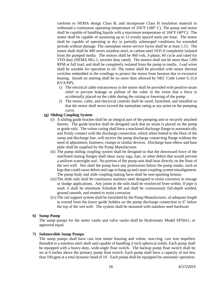conform to NEMA design Class B, and incorporate Class H insulation material to withstand a continuous operating temperature of  $356^{\circ}F (180^{\circ} C)$ . The pump and motor shall be capable of handling liquids with a maximum temperature of  $104^{\circ}F (40^{\circ}C)$ . The motor shall be capable of sustaining up to 12 evenly spaced starts per hour. The motor shall be capable of operating in dry or partially submerged conditions for extended periods without damage. The nameplate motor service factor shall be at least 1.15. The motor shaft shall be 400 series stainless steel, or carbon steel 1035 if completely isolated from the pumped media. The motors shall be 460 volt, 3-phase, 60 cycle and rated for VFD duty (NEMA MG-1, inverter duty rated). The motors shall not be more than 1200 RPM at full load, and shall be completely isolated from the pump to media. Lead wires shall be suitable for operation in oil. The motor shall be provided with motor thermal switches embedded in the windings to protect the motor from burnout due to excessive heating. Inrush on starting shall be no more than allowed by NEC Code Letter G (5.6) KVA/HP).

- 1) The electrical cable entranceway to the motor shall be provided with positive strain relief to prevent leakage or pullout of the cable in the event that a force is accidentally placed on the cable during the raising or lowering of the pump.
- 2) The motor, cable, and electrical controls shall be sized, furnished, and installed so that the motor shall never exceed the nameplate rating at any point on the pumping curve.
- **(g) Sliding Coupling System** 
	- (i) A sliding guide bracket shall be an integral part of the pumping unit or securely attached thereto. The guide bracket shall be designed such that no strain is placed on the pump or guide rails. The volute casing shall have a machined discharge flange to automatically and firmly connect with the discharge connection, which when bolted to the floor of the sump and discharge line, will receive the pump discharge connecting flange without the need of adjustment, fasteners, clamps or similar devices. Discharge base elbow and base plate shall be supplied by the Pump Manufacturer.
	- (ii) The pump sliding coupling system shall be designed so that the downward force of the machined mating flanges shall shear away rags, hair, or other debris that would prevent a uniform watertight seal. No portion of the pump unit shall bear directly on the floor of the wet well. Nor shall the pump have any protrusions below the pump intake, such as legs that could cause debris and rags to hang up and cause coupling system misalignment. The pump body and slide coupling mating faces shall be non-sparking bronze.
	- (iii)The slide rails shall be continuous stainless steel designed to resist corrosion in sewage or sludge applications. Any joints in the rails shall be reinforced from within. If pipe is used, it shall be minimum Schedule 80 and shall be continuously full-depth welded, ground smooth, and treated to resist corrosion.
	- (iv) The rail support system shall be furnished by the Pump Manufacturer, of adequate length to extend from the lower guide holders on the pump discharge connection to 6" below the top of the wet well. The system shall be mounted with stainless steel hardware

#### **6) Sump Pump**

The sump pumps for the meter vaults and valve vaults shall be Hydromatic Model SP50A1, or approved equal.

#### **7) Submersible Sump Pumps**

The sump pumps shall have cast iron motor housing and volute, non-clog, cast iron impellers threaded to a stainless steel shaft and capable of handling 2-inch spherical solids. Each pump shall be equipped with a heavy-duty, wide-angle float switch. The backup pump float switch shall be set at 6 inches above the primary pump float switch. Each pump shall have a capacity of not less than 100 gpm at a total dynamic head of 10'. Each pump shall be equipped for automatic operation.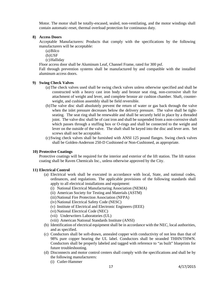Motor. The motor shall be totally-encased, sealed, non-ventilating, and the motor windings shall contain automatic-reset, thermal overload protection for continuous duty.

#### **8) Access Doors**

Acceptable Manufacturers: Products that comply with the specifications by the following manufacturers will be acceptable:

- (a)Bilco
- (b)USF
- (c)Halliday

Floor access door shall be Aluminum Leaf, Channel Frame, rated for 300 psf.

Fall through prevention systems shall be manufactured by and compatible with the installed aluminum access doors.

#### **9) Swing Check Valves**

- (a)The check valves used shall be swing check valves unless otherwise specified and shall be constructed with a heavy cast iron body and bronze seat ring, non-corrosive shaft for attachment of weight and lever, and complete bronze air cushion chamber. Shaft, counterweight, and cushion assembly shall be field reversible.
- (b)The valve disc shall absolutely prevent the return of water or gas back through the valve when the inlet pressure decreases below the delivery pressure. The valve shall be tightseating. The seat ring shall be renewable and shall be securely held in place by a threaded joint. The valve disc shall be of cast iron and shall be suspended from a non-corrosive shaft which passes through a stuffing box or O-rings and shall be connected to the weight and lever on the outside of the valve. The shaft shall be keyed into the disc and lever arm. Set screws shall not be acceptable.
- (c)Swing check valves shall be furnished with ANSI 125 pound flanges. Swing check valves shall be Golden-Anderson 250-D Cushioned or Non-Cushioned, as appropriate.

#### **10) Protective Coatings**

Protective coatings will be required for the interior and exterior of the lift station. The lift station coating shall be Raven Chemicals Inc., unless otherwise approved by the City.

#### **11) Electrical Control**

- (a) Electrical work shall be executed in accordance with local, State, and national codes, ordinances, and regulations. The applicable provisions of the following standards shall apply to all electrical installations and equipment:
	- (i) National Electrical Manufacturing Association (NEMA)
	- (ii) American Society for Testing and Materials (ASTM)
	- (iii)National Fire Protection Association (NFPA)
	- (iv) National Electrical Safety Code (NESC)
	- (v) Institute of Electrical and Electronic Engineers (IEEE)
	- (vi) National Electrical Code (NEC)
	- (vii) Underwriters Laboratories (UL)
	- (viii) American National Standards Institute (ANSI)
- (b) Identification of electrical equipment shall be in accordance with the NEC, local authorities, and as specified.
- (c) Conductors shall be soft-drawn, annealed copper with conductivity of not less than that of 98% pure copper bearing the UL label. Conductors shall be stranded THHN/THWN. Conductors shall be properly labeled and tagged with reference to "as built" blueprints for future troubleshooting.
- (d) Disconnects and motor control centers shall comply with the specifications and shall be by the following manufacturers:
	- (i) Cutler-Hammer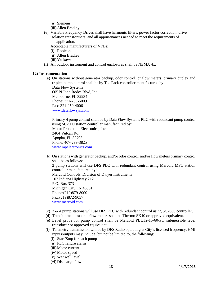- (ii) Siemens
- (iii)Allen Bradley
- (e) Variable Frequency Drives shall have harmonic filters, power factor correction, drive isolation transformers, and all appurtenances needed to meet the requirements of the application.

Acceptable manufacturers of VFDs:

- (i) Robicon
- (ii) Allen Bradley
- (iii)Yaskawa
- (f) All outdoor instrument and control enclosures shall be NEMA 4x.

#### **12) Instrumentation**

(a) On stations without generator backup, odor control, or flow meters, primary duplex and triplex pump control shall be by Tac Pack controller manufactured by: Data Flow Systems 605 N John Rodes Blvd, Inc. Melbourne, FL 32934

Phone: 321-259-5009 Fax: 321-259-4006 www.dataflowsys.com

Primary 4 pump control shall be by Data Flow Systems PLC with redundant pump control using SC2000 station controller manufactured by: Motor Protection Electronics, Inc. 2464 Vulcan Rd. Apopka, FL 32703 Phone: 407-299-3825 www.mpelectronics.com

- (b) On stations with generator backup, and/or odor control, and/or flow meters primary control shall be as follows: 2 pump stations will use DFS PLC with redundant control using Mercoid MPC station controller manufactured by: Mercoid Controls, Division of Dwyer Instruments 102 Indiana Highway 212 P.O. Box 373 Michigan City, IN 46361 Phone:(219)879-8000 Fax:(219)872-9057 www.mercoid.com .
- (c)  $3 \& 4$  pump stations will use DFS PLC with redundant control using SC2000 controller.
- (d) Transit time ultrasonic flow meters shall be Thermo SX40 or approved equivalent.
- (e) Level probe for pump control shall be Mercoid PBLT2-15-60-PU submersible level transducer or approved equivalent.
- (f) Telemetry transmission will be by DFS Radio operating at City's licensed frequency. HMI inputs/outputs may include, but not be limited to, the following:
	- (i) Start/Stop for each pump
	- (ii) PLC failure alarm
	- (iii)Motor current
	- (iv) Motor speed
	- (v) Wet well level
	- (vi) Discharge flow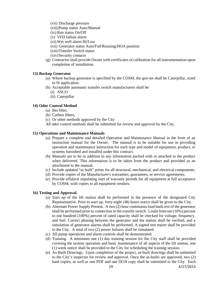- (vii) Discharge pressure
- (viii)Pump status Auto/Manual
- (ix) Run status On/Off
- (x) VFD failure alarm
- (xi) Wet well alarm Hi/Low
- (xii) Generator status Auto/Fail/Running/HOA position
- (xiii)Transfer Switch status
- (xiv)Security contacts
- (g) Contractor shall provide Owner with certificates of calibration for all instrumentation upon completion of installation.

#### **13) Backup Generator**

- (a) Where backup generator is specified by the COSM, the gen-set shall be Caterpillar, sized to fit application.
- (b) Acceptable automatic transfer switch manufacturers shall be:
	- (i) ASCO
	- (ii) Caterpillar

#### **14) Odor Control Method**

- (a) Bio filter,
- (b) Carbon filters,
- (c) Or other methods approved by the City
- All odor control methods shall be submitted for review and approval by the City.

#### **15) Operations and Maintenance Manuals**

- (a) Prepare a complete and detailed Operation and Maintenance Manual in the form of an instruction manual for the Owner. The manual is to be suitable for use in providing operation and maintenance instruction for each type and model of equipment, product, or systems furnished and installed under this contract.
- (b) Manuals are to be in addition to any information packed with or attached to the product when delivered. This information is to be taken from the product and provided as an attachment to the manual.
- (c) Include updated "as built" prints for all structural, mechanical, and electrical components.
- (d) Provide copies of the Manufacturer's warranties, guarantees, or service agreements.
- (e) Provide affidavit stipulating start of warranty periods for all equipment at full acceptance by COSM, with copies to all equipment vendors.

#### **16) Testing and Approval.**

- (a) Start up of the lift station shall be performed in the presence of the designated City Representative. Prior to start up, forty-eight (48) hours notice shall be given to the City.
- (b) Alternate Power Supply Present. A two (2) hour continuous load bank test of the generator shall be performed prior to connection to the transfer switch. Loads from ten (10%) percent to one hundred (100%) percent of rated capacity shall be checked for voltage, frequency, and fuel. Correct phasing between the generator and the station shall be verified, and a simulation of generator alarms shall be performed. A signed test report shall be provided to the City. A total of two (2) power failures shall be simulated.
- (c) All pump operations and alarm controls shall be demonstrated.
- (d) Training. A minimum one (1) day training session for the City staff shall be provided covering the system operation and basic maintenance of all aspects of the lift station, one (1) week notice shall be provided to the City for scheduling the training session.
- (e) As-Built Drawings. Upon completion of the project, as-built drawings shall be submitted to the City's inspector for review and approval. Once the as-builts are approved, two (2) hard copies, as well as one PDF and one DGN copy shall be submitted to the City. Each